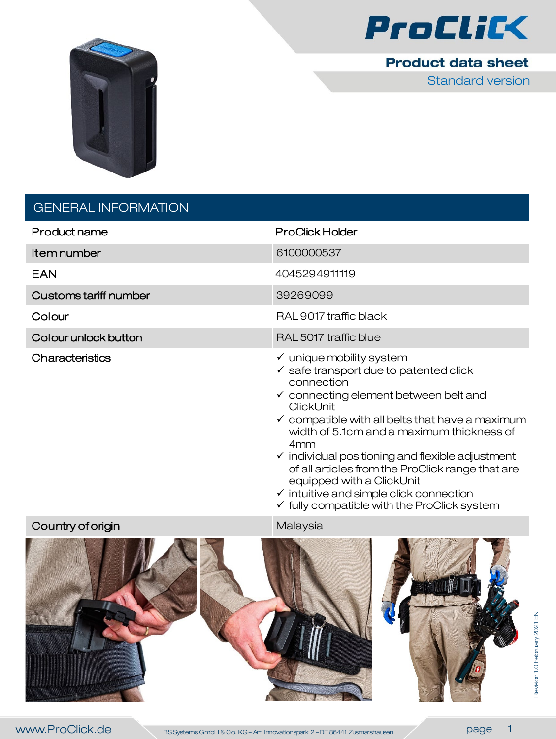



## **Product data sheet**

Standard version

## GENERAL INFORMATION

| Product name          | <b>ProClick Holder</b>                                                                                                                                                                                                                                                             |
|-----------------------|------------------------------------------------------------------------------------------------------------------------------------------------------------------------------------------------------------------------------------------------------------------------------------|
| Item number           | 6100000537                                                                                                                                                                                                                                                                         |
| <b>EAN</b>            | 4045294911119                                                                                                                                                                                                                                                                      |
| Customs tariff number | 39269099                                                                                                                                                                                                                                                                           |
| Colour                | RAL 9017 traffic black                                                                                                                                                                                                                                                             |
| Colour unlock button  | RAL 5017 traffic blue                                                                                                                                                                                                                                                              |
| Characteristics       | $\checkmark$ unique mobility system<br>$\checkmark$ safe transport due to patented click<br>connection<br>$\checkmark$ connecting element between belt and<br>ClickUnit<br>$\checkmark$ compatible with all belts that have a maximum<br>width of 5.1cm and a maximum thickness of |

- $\checkmark$  individual positioning and flexible adjustment of all articles from the ProClick range that are equipped with a ClickUnit
- $\checkmark$  intuitive and simple click connection
- $\checkmark$  fully compatible with the ProClick system

## Country of origin Malaysia

4mm